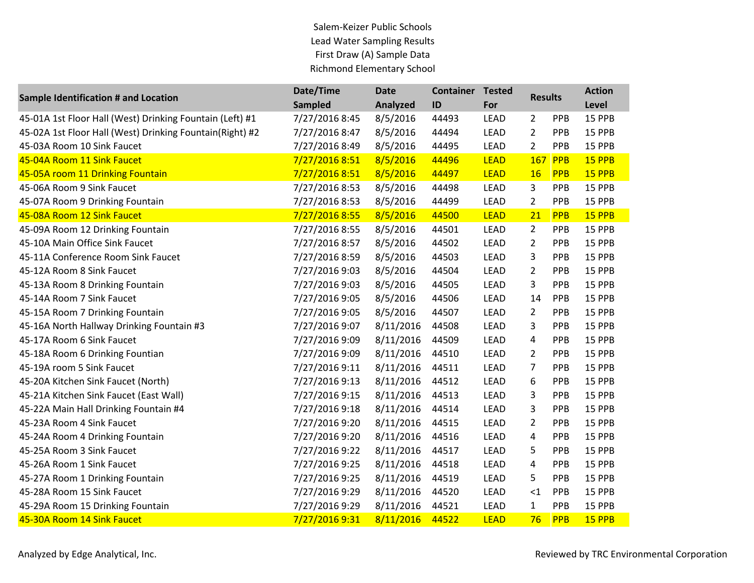## Salem-Keizer Public Schools Lead Water Sampling Results First Draw (A) Sample Data Richmond Elementary School

| <b>Sample Identification # and Location</b>              | Date/Time<br>Sampled | <b>Date</b><br>Analyzed | <b>Container</b><br>ID | <b>Tested</b><br>For | <b>Results</b> |            | <b>Action</b><br>Level |
|----------------------------------------------------------|----------------------|-------------------------|------------------------|----------------------|----------------|------------|------------------------|
| 45-01A 1st Floor Hall (West) Drinking Fountain (Left) #1 | 7/27/2016 8:45       | 8/5/2016                | 44493                  | <b>LEAD</b>          | $\overline{2}$ | PPB        | 15 PPB                 |
| 45-02A 1st Floor Hall (West) Drinking Fountain(Right) #2 | 7/27/2016 8:47       | 8/5/2016                | 44494                  | <b>LEAD</b>          | $\overline{2}$ | PPB        | 15 PPB                 |
| 45-03A Room 10 Sink Faucet                               | 7/27/2016 8:49       | 8/5/2016                | 44495                  | <b>LEAD</b>          | $\overline{2}$ | PPB        | 15 PPB                 |
| 45-04A Room 11 Sink Faucet                               | 7/27/2016 8:51       | 8/5/2016                | 44496                  | <b>LEAD</b>          | 167            | <b>PPB</b> | 15 PPB                 |
| 45-05A room 11 Drinking Fountain                         | 7/27/2016 8:51       | 8/5/2016                | 44497                  | <b>LEAD</b>          | <b>16</b>      | <b>PPB</b> | 15 PPB                 |
| 45-06A Room 9 Sink Faucet                                | 7/27/2016 8:53       | 8/5/2016                | 44498                  | <b>LEAD</b>          | 3              | PPB        | 15 PPB                 |
| 45-07A Room 9 Drinking Fountain                          | 7/27/2016 8:53       | 8/5/2016                | 44499                  | <b>LEAD</b>          | $\overline{2}$ | PPB        | 15 PPB                 |
| 45-08A Room 12 Sink Faucet                               | 7/27/2016 8:55       | 8/5/2016                | 44500                  | <b>LEAD</b>          | 21             | PPB        | 15 PPB                 |
| 45-09A Room 12 Drinking Fountain                         | 7/27/2016 8:55       | 8/5/2016                | 44501                  | <b>LEAD</b>          | $\overline{2}$ | PPB        | 15 PPB                 |
| 45-10A Main Office Sink Faucet                           | 7/27/2016 8:57       | 8/5/2016                | 44502                  | LEAD                 | $\overline{2}$ | PPB        | 15 PPB                 |
| 45-11A Conference Room Sink Faucet                       | 7/27/2016 8:59       | 8/5/2016                | 44503                  | LEAD                 | 3              | PPB        | 15 PPB                 |
| 45-12A Room 8 Sink Faucet                                | 7/27/2016 9:03       | 8/5/2016                | 44504                  | <b>LEAD</b>          | $\overline{2}$ | PPB        | 15 PPB                 |
| 45-13A Room 8 Drinking Fountain                          | 7/27/2016 9:03       | 8/5/2016                | 44505                  | LEAD                 | 3              | PPB        | 15 PPB                 |
| 45-14A Room 7 Sink Faucet                                | 7/27/2016 9:05       | 8/5/2016                | 44506                  | <b>LEAD</b>          | 14             | PPB        | 15 PPB                 |
| 45-15A Room 7 Drinking Fountain                          | 7/27/2016 9:05       | 8/5/2016                | 44507                  | <b>LEAD</b>          | $\overline{2}$ | PPB        | 15 PPB                 |
| 45-16A North Hallway Drinking Fountain #3                | 7/27/2016 9:07       | 8/11/2016               | 44508                  | LEAD                 | 3              | PPB        | 15 PPB                 |
| 45-17A Room 6 Sink Faucet                                | 7/27/2016 9:09       | 8/11/2016               | 44509                  | LEAD                 | 4              | PPB        | 15 PPB                 |
| 45-18A Room 6 Drinking Fountian                          | 7/27/2016 9:09       | 8/11/2016               | 44510                  | LEAD                 | $\overline{2}$ | PPB        | 15 PPB                 |
| 45-19A room 5 Sink Faucet                                | 7/27/2016 9:11       | 8/11/2016               | 44511                  | <b>LEAD</b>          | $\overline{7}$ | PPB        | 15 PPB                 |
| 45-20A Kitchen Sink Faucet (North)                       | 7/27/2016 9:13       | 8/11/2016               | 44512                  | <b>LEAD</b>          | 6              | PPB        | 15 PPB                 |
| 45-21A Kitchen Sink Faucet (East Wall)                   | 7/27/2016 9:15       | 8/11/2016               | 44513                  | <b>LEAD</b>          | 3              | PPB        | 15 PPB                 |
| 45-22A Main Hall Drinking Fountain #4                    | 7/27/2016 9:18       | 8/11/2016               | 44514                  | LEAD                 | 3              | PPB        | 15 PPB                 |
| 45-23A Room 4 Sink Faucet                                | 7/27/2016 9:20       | 8/11/2016               | 44515                  | LEAD                 | $\overline{2}$ | PPB        | 15 PPB                 |
| 45-24A Room 4 Drinking Fountain                          | 7/27/2016 9:20       | 8/11/2016               | 44516                  | LEAD                 | 4              | PPB        | 15 PPB                 |
| 45-25A Room 3 Sink Faucet                                | 7/27/2016 9:22       | 8/11/2016               | 44517                  | LEAD                 | 5              | PPB        | 15 PPB                 |
| 45-26A Room 1 Sink Faucet                                | 7/27/2016 9:25       | 8/11/2016               | 44518                  | LEAD                 | 4              | PPB        | 15 PPB                 |
| 45-27A Room 1 Drinking Fountain                          | 7/27/2016 9:25       | 8/11/2016               | 44519                  | LEAD                 | 5              | PPB        | 15 PPB                 |
| 45-28A Room 15 Sink Faucet                               | 7/27/2016 9:29       | 8/11/2016               | 44520                  | LEAD                 | ${<}1$         | PPB        | 15 PPB                 |
| 45-29A Room 15 Drinking Fountain                         | 7/27/2016 9:29       | 8/11/2016               | 44521                  | LEAD                 | $\mathbf{1}$   | PPB        | 15 PPB                 |
| 45-30A Room 14 Sink Faucet                               | 7/27/2016 9:31       | 8/11/2016               | 44522                  | <b>LEAD</b>          | 76             | <b>PPB</b> | 15 PPB                 |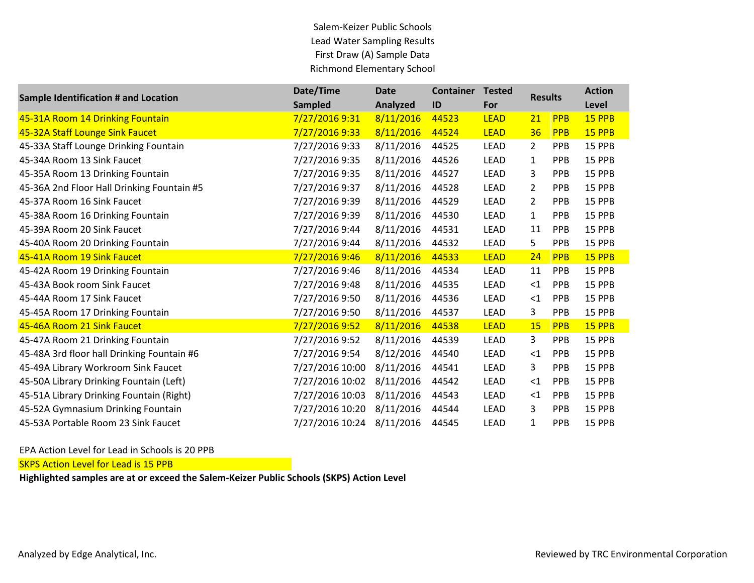Salem-Keizer Public Schools Lead Water Sampling Results First Draw (A) Sample Data Richmond Elementary School

| <b>Sample Identification # and Location</b> | Date/Time       | <b>Date</b> | <b>Container</b> | <b>Tested</b> | <b>Results</b> |            | <b>Action</b> |
|---------------------------------------------|-----------------|-------------|------------------|---------------|----------------|------------|---------------|
|                                             | <b>Sampled</b>  | Analyzed    | ID               | For           |                |            | <b>Level</b>  |
| 45-31A Room 14 Drinking Fountain            | 7/27/2016 9:31  | 8/11/2016   | 44523            | <b>LEAD</b>   | <u>21</u>      | <b>PPB</b> | 15 PPB        |
| 45-32A Staff Lounge Sink Faucet             | 7/27/2016 9:33  | 8/11/2016   | 44524            | <b>LEAD</b>   | 36             | <b>PPB</b> | 15 PPB        |
| 45-33A Staff Lounge Drinking Fountain       | 7/27/2016 9:33  | 8/11/2016   | 44525            | <b>LEAD</b>   | $\overline{2}$ | <b>PPB</b> | 15 PPB        |
| 45-34A Room 13 Sink Faucet                  | 7/27/2016 9:35  | 8/11/2016   | 44526            | <b>LEAD</b>   | 1              | <b>PPB</b> | 15 PPB        |
| 45-35A Room 13 Drinking Fountain            | 7/27/2016 9:35  | 8/11/2016   | 44527            | <b>LEAD</b>   | 3              | PPB        | 15 PPB        |
| 45-36A 2nd Floor Hall Drinking Fountain #5  | 7/27/2016 9:37  | 8/11/2016   | 44528            | <b>LEAD</b>   | 2              | <b>PPB</b> | 15 PPB        |
| 45-37A Room 16 Sink Faucet                  | 7/27/2016 9:39  | 8/11/2016   | 44529            | <b>LEAD</b>   | 2              | <b>PPB</b> | 15 PPB        |
| 45-38A Room 16 Drinking Fountain            | 7/27/2016 9:39  | 8/11/2016   | 44530            | <b>LEAD</b>   | $\mathbf{1}$   | <b>PPB</b> | 15 PPB        |
| 45-39A Room 20 Sink Faucet                  | 7/27/2016 9:44  | 8/11/2016   | 44531            | <b>LEAD</b>   | 11             | <b>PPB</b> | 15 PPB        |
| 45-40A Room 20 Drinking Fountain            | 7/27/2016 9:44  | 8/11/2016   | 44532            | LEAD          | 5              | <b>PPB</b> | 15 PPB        |
| 45-41A Room 19 Sink Faucet                  | 7/27/2016 9:46  | 8/11/2016   | 44533            | <b>LEAD</b>   | 24             | <b>PPB</b> | <b>15 PPB</b> |
| 45-42A Room 19 Drinking Fountain            | 7/27/2016 9:46  | 8/11/2016   | 44534            | <b>LEAD</b>   | 11             | <b>PPB</b> | 15 PPB        |
| 45-43A Book room Sink Faucet                | 7/27/2016 9:48  | 8/11/2016   | 44535            | <b>LEAD</b>   | ${<}1$         | <b>PPB</b> | 15 PPB        |
| 45-44A Room 17 Sink Faucet                  | 7/27/2016 9:50  | 8/11/2016   | 44536            | <b>LEAD</b>   | $\leq$ 1       | PPB        | 15 PPB        |
| 45-45A Room 17 Drinking Fountain            | 7/27/2016 9:50  | 8/11/2016   | 44537            | LEAD          | 3              | <b>PPB</b> | 15 PPB        |
| 45-46A Room 21 Sink Faucet                  | 7/27/2016 9:52  | 8/11/2016   | 44538            | <b>LEAD</b>   | 15             | <b>PPB</b> | 15 PPB        |
| 45-47A Room 21 Drinking Fountain            | 7/27/2016 9:52  | 8/11/2016   | 44539            | <b>LEAD</b>   | 3              | <b>PPB</b> | 15 PPB        |
| 45-48A 3rd floor hall Drinking Fountain #6  | 7/27/2016 9:54  | 8/12/2016   | 44540            | <b>LEAD</b>   | $\leq$ 1       | <b>PPB</b> | 15 PPB        |
| 45-49A Library Workroom Sink Faucet         | 7/27/2016 10:00 | 8/11/2016   | 44541            | <b>LEAD</b>   | 3              | <b>PPB</b> | 15 PPB        |
| 45-50A Library Drinking Fountain (Left)     | 7/27/2016 10:02 | 8/11/2016   | 44542            | <b>LEAD</b>   | $\leq$ 1       | PPB        | 15 PPB        |
| 45-51A Library Drinking Fountain (Right)    | 7/27/2016 10:03 | 8/11/2016   | 44543            | <b>LEAD</b>   | $\leq$ 1       | <b>PPB</b> | 15 PPB        |
| 45-52A Gymnasium Drinking Fountain          | 7/27/2016 10:20 | 8/11/2016   | 44544            | <b>LEAD</b>   | 3              | <b>PPB</b> | 15 PPB        |
| 45-53A Portable Room 23 Sink Faucet         | 7/27/2016 10:24 | 8/11/2016   | 44545            | <b>LEAD</b>   | $\mathbf{1}$   | <b>PPB</b> | 15 PPB        |

EPA Action Level for Lead in Schools is 20 PPB

**SKPS Action Level for Lead is 15 PPB**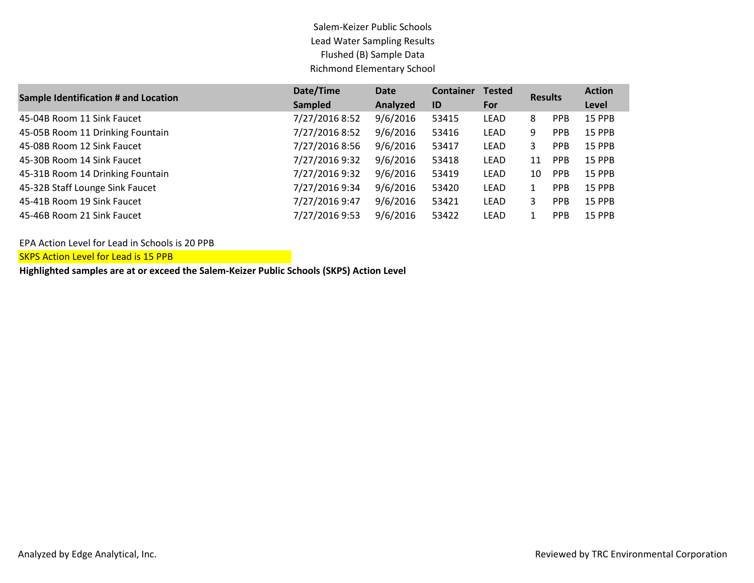## Salem-Keizer Public Schools Lead Water Sampling Results Flushed (B) Sample Data Richmond Elementary School

| <b>Sample Identification # and Location</b> | Date/Time      | Date     | <b>Container</b> | <b>Tested</b><br><b>Results</b> |    |            | <b>Action</b> |
|---------------------------------------------|----------------|----------|------------------|---------------------------------|----|------------|---------------|
|                                             | <b>Sampled</b> | Analyzed | ID               | For                             |    |            | Level         |
| 45-04B Room 11 Sink Faucet                  | 7/27/2016 8:52 | 9/6/2016 | 53415            | <b>LEAD</b>                     | 8  | <b>PPB</b> | <b>15 PPB</b> |
| 45-05B Room 11 Drinking Fountain            | 7/27/2016 8:52 | 9/6/2016 | 53416            | LEAD                            | 9  | <b>PPB</b> | <b>15 PPB</b> |
| 45-08B Room 12 Sink Faucet                  | 7/27/2016 8:56 | 9/6/2016 | 53417            | <b>LEAD</b>                     | 3  | <b>PPB</b> | <b>15 PPB</b> |
| 45-30B Room 14 Sink Faucet                  | 7/27/2016 9:32 | 9/6/2016 | 53418            | <b>LEAD</b>                     | 11 | <b>PPB</b> | <b>15 PPB</b> |
| 45-31B Room 14 Drinking Fountain            | 7/27/2016 9:32 | 9/6/2016 | 53419            | <b>LEAD</b>                     | 10 | <b>PPB</b> | <b>15 PPB</b> |
| 45-32B Staff Lounge Sink Faucet             | 7/27/2016 9:34 | 9/6/2016 | 53420            | <b>LEAD</b>                     |    | <b>PPB</b> | <b>15 PPB</b> |
| 45-41B Room 19 Sink Faucet                  | 7/27/2016 9:47 | 9/6/2016 | 53421            | <b>LEAD</b>                     | 3  | <b>PPB</b> | <b>15 PPB</b> |
| 45-46B Room 21 Sink Faucet                  | 7/27/2016 9:53 | 9/6/2016 | 53422            | LEAD                            |    | <b>PPB</b> | <b>15 PPB</b> |

EPA Action Level for Lead in Schools is 20 PPB

**SKPS Action Level for Lead is 15 PPB**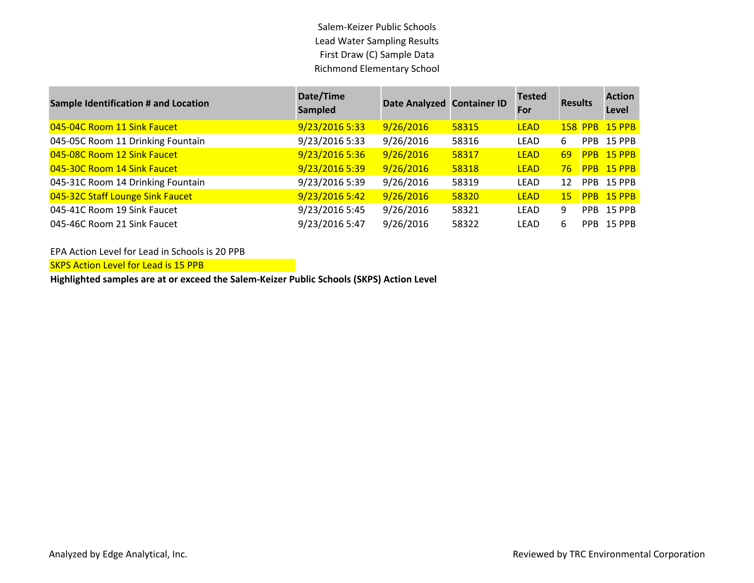Salem-Keizer Public Schools Lead Water Sampling Results First Draw (C) Sample Data Richmond Elementary School

| <b>Sample Identification # and Location</b> | Date/Time<br>Sampled | Date Analyzed Container ID |       | <b>Tested</b><br><b>For</b> | <b>Results</b> |            | <b>Action</b><br>Level |
|---------------------------------------------|----------------------|----------------------------|-------|-----------------------------|----------------|------------|------------------------|
| 045-04C Room 11 Sink Faucet                 | 9/23/2016 5:33       | 9/26/2016                  | 58315 | <b>LEAD</b>                 |                |            | 158 PPB 15 PPB         |
| 045-05C Room 11 Drinking Fountain           | 9/23/2016 5:33       | 9/26/2016                  | 58316 | LEAD                        | 6              |            | PPB 15 PPB             |
| 045-08C Room 12 Sink Faucet                 | 9/23/2016 5:36       | 9/26/2016                  | 58317 | <b>LEAD</b>                 | 69             |            | PPB 15 PPB             |
| 045-30C Room 14 Sink Faucet                 | 9/23/2016 5:39       | 9/26/2016                  | 58318 | <b>LEAD</b>                 | 76             | <b>PPB</b> | $15$ PPB               |
| 045-31C Room 14 Drinking Fountain           | 9/23/2016 5:39       | 9/26/2016                  | 58319 | <b>LEAD</b>                 | 12             | <b>PPB</b> | <b>15 PPB</b>          |
| 045-32C Staff Lounge Sink Faucet            | 9/23/2016 5:42       | 9/26/2016                  | 58320 | <b>LEAD</b>                 | 15             | <b>PPB</b> | $15$ PPB               |
| 045-41C Room 19 Sink Faucet                 | 9/23/2016 5:45       | 9/26/2016                  | 58321 | <b>LEAD</b>                 | 9              | <b>PPB</b> | 15 PPB                 |
| 045-46C Room 21 Sink Faucet                 | 9/23/2016 5:47       | 9/26/2016                  | 58322 | LEAD                        | 6              | PPB.       | <b>15 PPB</b>          |

EPA Action Level for Lead in Schools is 20 PPB

**SKPS Action Level for Lead is 15 PPB**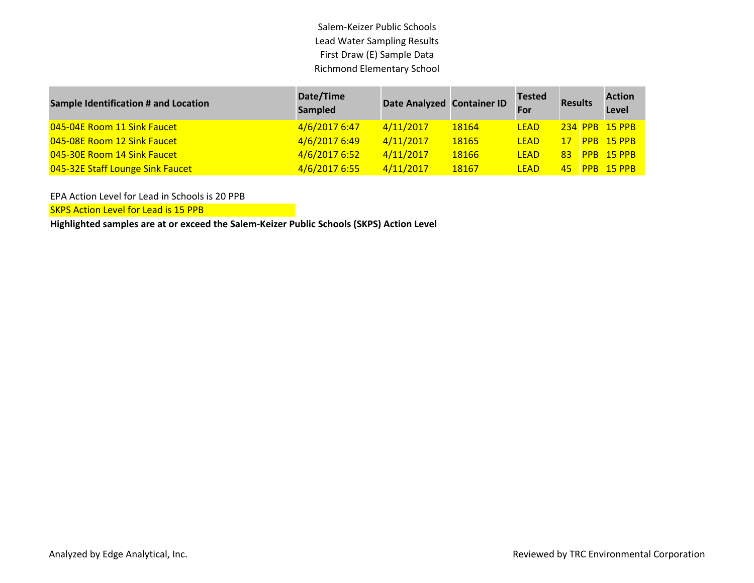Salem-Keizer Public Schools Lead Water Sampling Results First Draw (E) Sample Data Richmond Elementary School

| <b>Sample Identification # and Location</b> | Date/Time<br><b>Sampled</b> | Date Analyzed Container ID |       | <b>Tested</b><br>For | <b>Results</b>  |  | <b>Action</b><br>Level |
|---------------------------------------------|-----------------------------|----------------------------|-------|----------------------|-----------------|--|------------------------|
| 045-04E Room 11 Sink Faucet                 | 4/6/2017 6:47               | 4/11/2017                  | 18164 | <b>LEAD</b>          |                 |  | <b>234 PPB 15 PPB</b>  |
| 045-08E Room 12 Sink Faucet                 | 4/6/2017 6:49               | 4/11/2017                  | 18165 | <b>LEAD</b>          | 17.             |  | <b>PPB 15 PPB</b>      |
| 045-30E Room 14 Sink Faucet                 | 4/6/2017 6:52               | 4/11/2017                  | 18166 | <b>LFAD</b>          | 83 <sup>1</sup> |  | <b>PPB 15 PPB</b>      |
| 045-32E Staff Lounge Sink Faucet            | 4/6/2017 6:55               | 4/11/2017                  | 18167 | <b>LFAD</b>          | 45.             |  | PPB 15 PPB             |

EPA Action Level for Lead in Schools is 20 PPB

SKPS Action Level for Lead is 15 PPB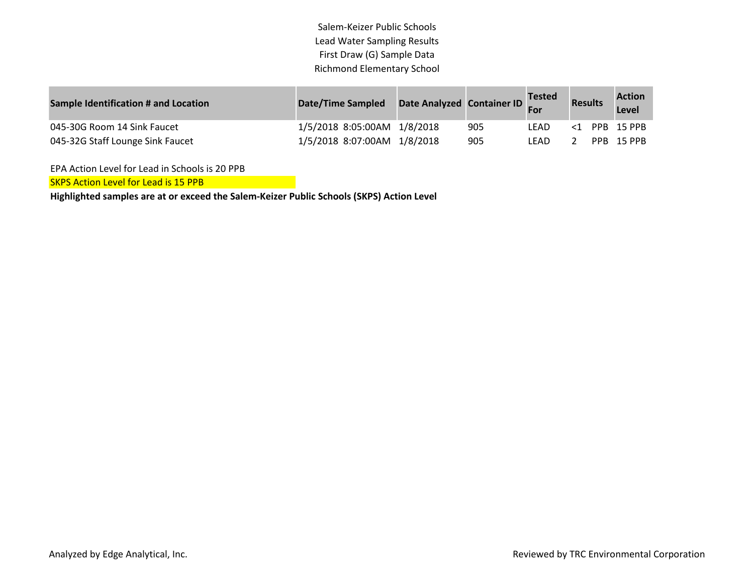Salem-Keizer Public Schools Lead Water Sampling Results First Draw (G) Sample Data Richmond Elementary School

| <b>Sample Identification # and Location</b> | <b>Date/Time Sampled</b>    | Date Analyzed Container ID |     | <b>Tested</b><br>For | <b>Results</b> | <b>Action</b><br>Level |
|---------------------------------------------|-----------------------------|----------------------------|-----|----------------------|----------------|------------------------|
| 045-30G Room 14 Sink Faucet                 | 1/5/2018 8:05:00AM 1/8/2018 |                            | 905 | LFAD                 |                | $<$ 1 PPB 15 PPB       |
| 045-32G Staff Lounge Sink Faucet            | 1/5/2018 8:07:00AM 1/8/2018 |                            | 905 | LFAD                 |                | PPB 15 PPB             |

EPA Action Level for Lead in Schools is 20 PPB

SKPS Action Level for Lead is 15 PPB